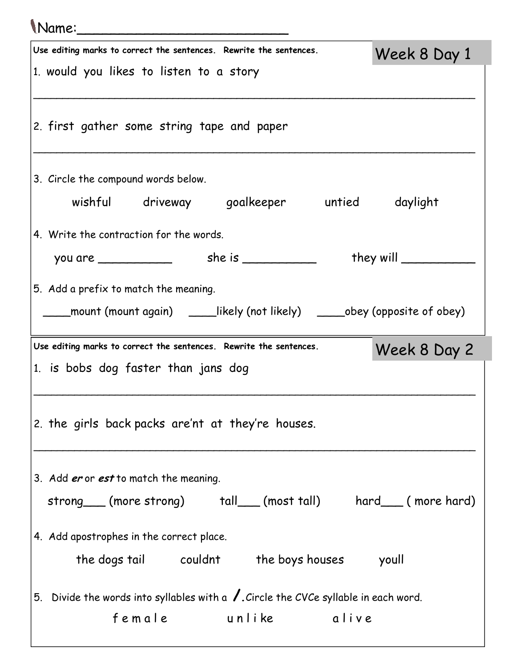## Name:\_\_\_\_\_\_\_\_\_\_\_\_\_\_\_\_\_\_\_\_\_\_\_\_\_

| Use editing marks to correct the sentences. Rewrite the sentences.<br>Week 8 Day 1             |  |
|------------------------------------------------------------------------------------------------|--|
| 1. would you likes to listen to a story                                                        |  |
|                                                                                                |  |
| 2. first gather some string tape and paper                                                     |  |
|                                                                                                |  |
|                                                                                                |  |
| 3. Circle the compound words below.                                                            |  |
| wishful driveway goalkeeper untied daylight                                                    |  |
| 4. Write the contraction for the words.                                                        |  |
|                                                                                                |  |
| 5. Add a prefix to match the meaning.                                                          |  |
| ____mount (mount again)  _____likely (not likely)  _____obey (opposite of obey)                |  |
|                                                                                                |  |
|                                                                                                |  |
| Use editing marks to correct the sentences. Rewrite the sentences.<br>Week 8 Day 2             |  |
| 1. is bobs dog faster than jans dog                                                            |  |
|                                                                                                |  |
| 2. the girls back packs are'nt at they're houses.                                              |  |
|                                                                                                |  |
|                                                                                                |  |
| 3. Add er or est to match the meaning.                                                         |  |
| strong (more strong) tall (most tall) hard (more hard)                                         |  |
| 4. Add apostrophes in the correct place.                                                       |  |
| the dogs tail couldnt the boys houses youll                                                    |  |
|                                                                                                |  |
| 5. Divide the words into syllables with a $\sqrt{\ }$ . Circle the CVCe syllable in each word. |  |
| female unlike alive                                                                            |  |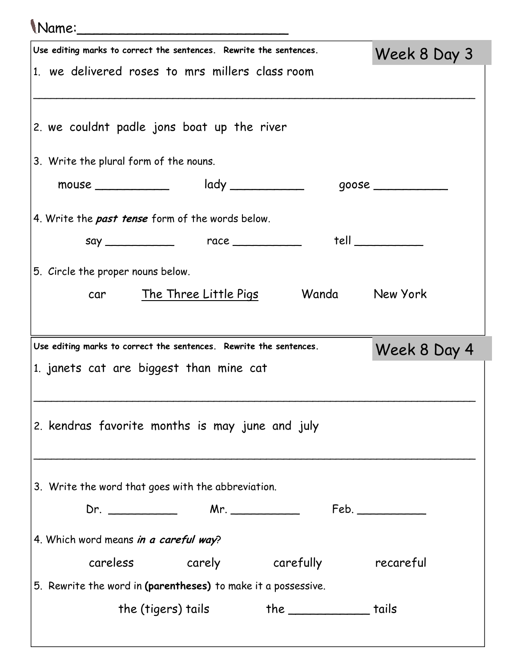## Name:\_\_\_\_\_\_\_\_\_\_\_\_\_\_\_\_\_\_\_\_\_\_\_\_\_

|                                        | Use editing marks to correct the sentences. Rewrite the sentences. | Week 8 Day 3   |
|----------------------------------------|--------------------------------------------------------------------|----------------|
|                                        | 1. we delivered roses to mrs millers class room                    |                |
|                                        |                                                                    |                |
|                                        | 2. we couldnt padle jons boat up the river                         |                |
| 3. Write the plural form of the nouns. |                                                                    |                |
| mouse $\_\_$                           | $\mathsf{lady} \_\_\_\_\_\_\_\_\_\_\_\_\_\_\_\_\_\_\_\_\_\_\_\_$   |                |
|                                        | 4. Write the past tense form of the words below.                   |                |
|                                        |                                                                    | tell           |
| 5. Circle the proper nouns below.      |                                                                    |                |
|                                        | car The Three Little Pigs                                          | Wanda New York |
|                                        |                                                                    |                |
|                                        | Use editing marks to correct the sentences. Rewrite the sentences. | Week 8 Day 4   |
|                                        |                                                                    |                |
|                                        | 1. janets cat are biggest than mine cat                            |                |
|                                        |                                                                    |                |
|                                        |                                                                    |                |
|                                        | 2. kendras favorite months is may june and july                    |                |
|                                        |                                                                    |                |
|                                        | 3. Write the word that goes with the abbreviation.                 |                |
|                                        |                                                                    |                |
| 4. Which word means in a careful way?  |                                                                    |                |
|                                        | careless carely carefully recareful                                |                |
|                                        | 5. Rewrite the word in (parentheses) to make it a possessive.      |                |
|                                        | the (tigers) tails the _____________ tails                         |                |